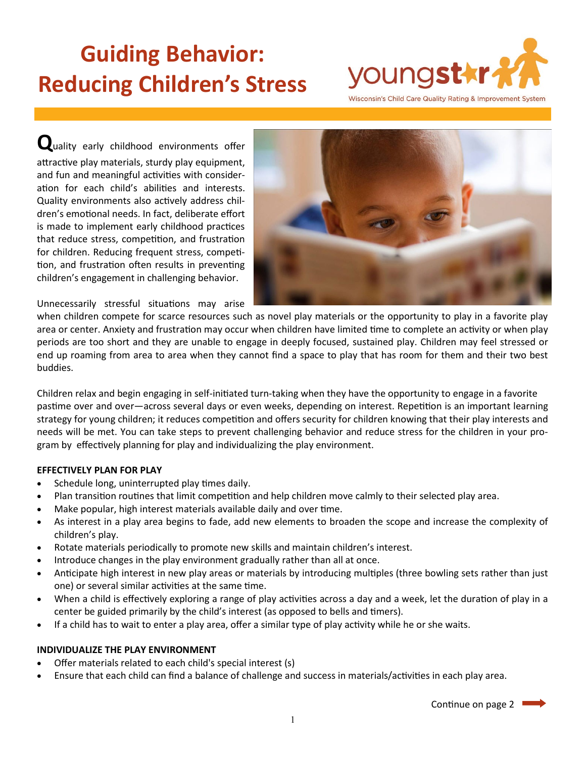# **Guiding Behavior: Reducing Children's Stress**



**Q**uality early childhood environments offer attractive play materials, sturdy play equipment, and fun and meaningful activities with consideration for each child's abilities and interests. Quality environments also actively address children's emotional needs. In fact, deliberate effort is made to implement early childhood practices that reduce stress, competition, and frustration for children. Reducing frequent stress, competition, and frustration often results in preventing children's engagement in challenging behavior.



Unnecessarily stressful situations may arise

when children compete for scarce resources such as novel play materials or the opportunity to play in a favorite play area or center. Anxiety and frustration may occur when children have limited time to complete an activity or when play periods are too short and they are unable to engage in deeply focused, sustained play. Children may feel stressed or end up roaming from area to area when they cannot find a space to play that has room for them and their two best buddies.

Children relax and begin engaging in self-initiated turn-taking when they have the opportunity to engage in a favorite pastime over and over—across several days or even weeks, depending on interest. Repetition is an important learning strategy for young children; it reduces competition and offers security for children knowing that their play interests and needs will be met. You can take steps to prevent challenging behavior and reduce stress for the children in your program by effectively planning for play and individualizing the play environment.

## **EFFECTIVELY PLAN FOR PLAY**

- Schedule long, uninterrupted play times daily.
- Plan transition routines that limit competition and help children move calmly to their selected play area.
- Make popular, high interest materials available daily and over time.
- As interest in a play area begins to fade, add new elements to broaden the scope and increase the complexity of children's play.
- Rotate materials periodically to promote new skills and maintain children's interest.
- Introduce changes in the play environment gradually rather than all at once.
- Anticipate high interest in new play areas or materials by introducing multiples (three bowling sets rather than just one) or several similar activities at the same time.
- When a child is effectively exploring a range of play activities across a day and a week, let the duration of play in a center be guided primarily by the child's interest (as opposed to bells and timers).
- If a child has to wait to enter a play area, offer a similar type of play activity while he or she waits.

### **INDIVIDUALIZE THE PLAY ENVIRONMENT**

- Offer materials related to each child's special interest (s)
- Ensure that each child can find a balance of challenge and success in materials/activities in each play area.

Continue on page 2